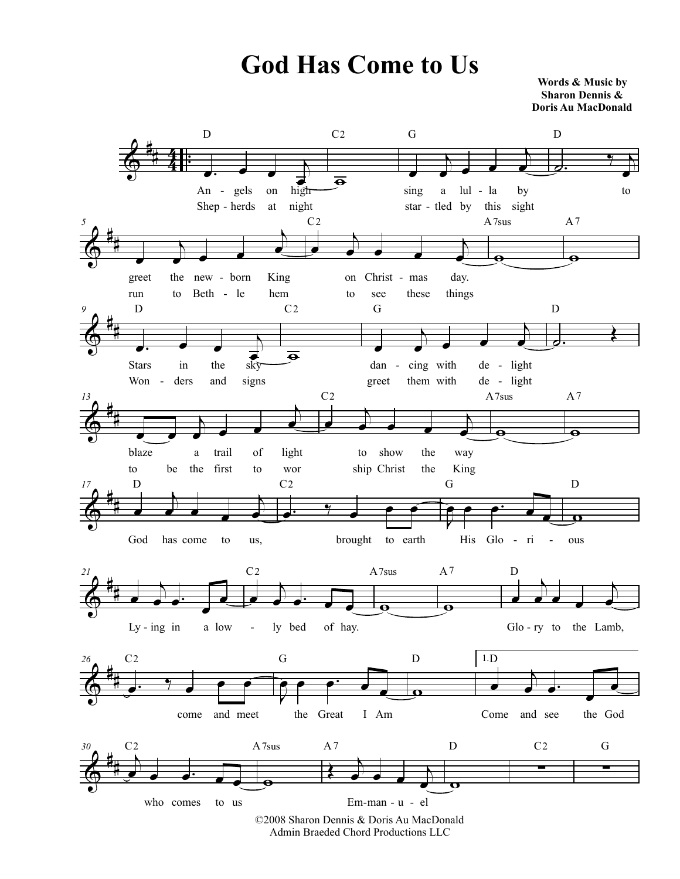## **God Has Come to Us**

**Words & Music by Sharon Dennis & Doris Au MacDonald**



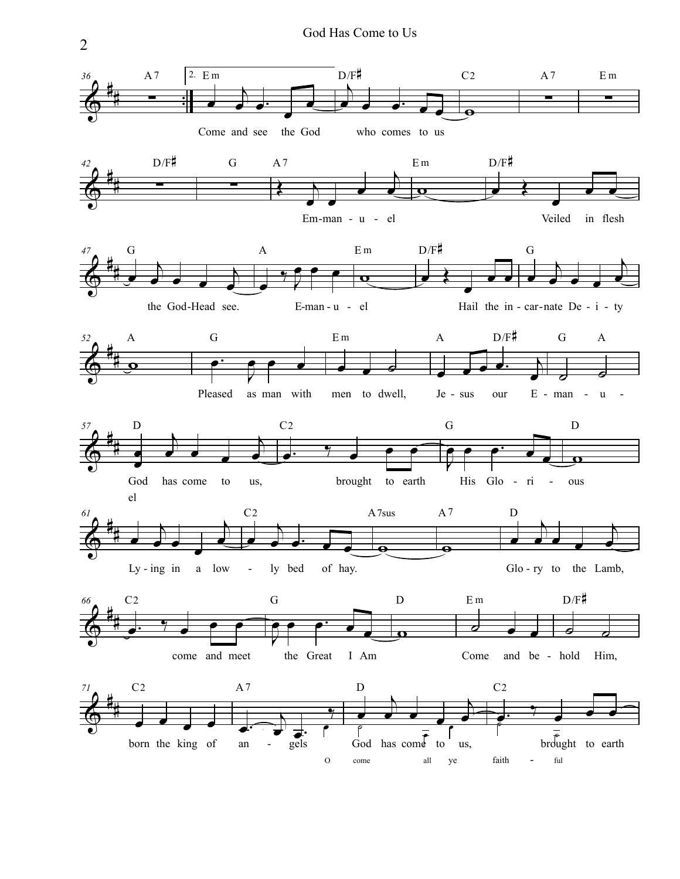

2